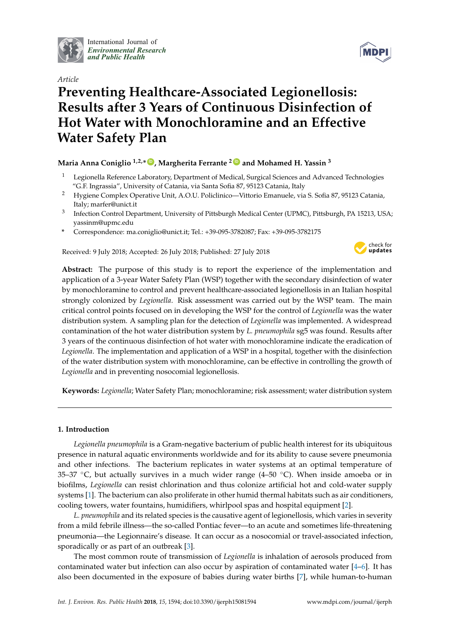

International Journal of *[Environmental Research](http://www.mdpi.com/journal/ijerph) and Public Health*



# *Article* **Preventing Healthcare-Associated Legionellosis: Results after 3 Years of Continuous Disinfection of Hot Water with Monochloramine and an Effective Water Safety Plan**

# **Maria Anna Coniglio 1,2,\* [ID](https://orcid.org/0000-0002-6119-0309) , Margherita Ferrante <sup>2</sup> [ID](https://orcid.org/0000-0001-7596-2464) and Mohamed H. Yassin <sup>3</sup>**

- <sup>1</sup> Legionella Reference Laboratory, Department of Medical, Surgical Sciences and Advanced Technologies "G.F. Ingrassia", University of Catania, via Santa Sofia 87, 95123 Catania, Italy
- <sup>2</sup> Hygiene Complex Operative Unit, A.O.U. Policlinico—Vittorio Emanuele, via S. Sofia 87, 95123 Catania, Italy; marfer@unict.it
- 3 Infection Control Department, University of Pittsburgh Medical Center (UPMC), Pittsburgh, PA 15213, USA; yassinm@upmc.edu
- **\*** Correspondence: ma.coniglio@unict.it; Tel.: +39-095-3782087; Fax: +39-095-3782175

Received: 9 July 2018; Accepted: 26 July 2018; Published: 27 July 2018



**Abstract:** The purpose of this study is to report the experience of the implementation and application of a 3-year Water Safety Plan (WSP) together with the secondary disinfection of water by monochloramine to control and prevent healthcare-associated legionellosis in an Italian hospital strongly colonized by *Legionella*. Risk assessment was carried out by the WSP team. The main critical control points focused on in developing the WSP for the control of *Legionella* was the water distribution system. A sampling plan for the detection of *Legionella* was implemented. A widespread contamination of the hot water distribution system by *L. pneumophila* sg5 was found. Results after 3 years of the continuous disinfection of hot water with monochloramine indicate the eradication of *Legionella*. The implementation and application of a WSP in a hospital, together with the disinfection of the water distribution system with monochloramine, can be effective in controlling the growth of *Legionella* and in preventing nosocomial legionellosis.

**Keywords:** *Legionella*; Water Safety Plan; monochloramine; risk assessment; water distribution system

# **1. Introduction**

*Legionella pneumophila* is a Gram-negative bacterium of public health interest for its ubiquitous presence in natural aquatic environments worldwide and for its ability to cause severe pneumonia and other infections. The bacterium replicates in water systems at an optimal temperature of 35–37  $\degree$ C, but actually survives in a much wider range (4–50  $\degree$ C). When inside amoeba or in biofilms, *Legionella* can resist chlorination and thus colonize artificial hot and cold-water supply systems [\[1\]](#page-8-0). The bacterium can also proliferate in other humid thermal habitats such as air conditioners, cooling towers, water fountains, humidifiers, whirlpool spas and hospital equipment [\[2\]](#page-8-1).

*L. pneumophila* and its related species is the causative agent of legionellosis, which varies in severity from a mild febrile illness—the so-called Pontiac fever—to an acute and sometimes life-threatening pneumonia—the Legionnaire's disease. It can occur as a nosocomial or travel-associated infection, sporadically or as part of an outbreak [\[3\]](#page-8-2).

The most common route of transmission of *Legionella* is inhalation of aerosols produced from contaminated water but infection can also occur by aspiration of contaminated water  $[4-6]$  $[4-6]$ . It has also been documented in the exposure of babies during water births [\[7\]](#page-8-5), while human-to-human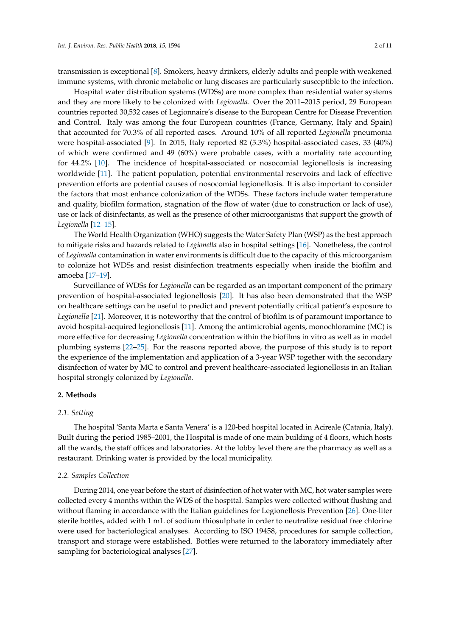transmission is exceptional [\[8\]](#page-8-6). Smokers, heavy drinkers, elderly adults and people with weakened immune systems, with chronic metabolic or lung diseases are particularly susceptible to the infection.

Hospital water distribution systems (WDSs) are more complex than residential water systems and they are more likely to be colonized with *Legionella*. Over the 2011–2015 period, 29 European countries reported 30,532 cases of Legionnaire's disease to the European Centre for Disease Prevention and Control. Italy was among the four European countries (France, Germany, Italy and Spain) that accounted for 70.3% of all reported cases. Around 10% of all reported *Legionella* pneumonia were hospital-associated [\[9\]](#page-8-7). In 2015, Italy reported 82 (5.3%) hospital-associated cases, 33 (40%) of which were confirmed and 49 (60%) were probable cases, with a mortality rate accounting for 44.2% [\[10\]](#page-8-8). The incidence of hospital-associated or nosocomial legionellosis is increasing worldwide [\[11\]](#page-8-9). The patient population, potential environmental reservoirs and lack of effective prevention efforts are potential causes of nosocomial legionellosis. It is also important to consider the factors that most enhance colonization of the WDSs. These factors include water temperature and quality, biofilm formation, stagnation of the flow of water (due to construction or lack of use), use or lack of disinfectants, as well as the presence of other microorganisms that support the growth of *Legionella* [\[12–](#page-9-0)[15\]](#page-9-1).

The World Health Organization (WHO) suggests the Water Safety Plan (WSP) as the best approach to mitigate risks and hazards related to *Legionella* also in hospital settings [\[16\]](#page-9-2). Nonetheless, the control of *Legionella* contamination in water environments is difficult due to the capacity of this microorganism to colonize hot WDSs and resist disinfection treatments especially when inside the biofilm and amoeba [\[17–](#page-9-3)[19\]](#page-9-4).

Surveillance of WDSs for *Legionella* can be regarded as an important component of the primary prevention of hospital-associated legionellosis [\[20\]](#page-9-5). It has also been demonstrated that the WSP on healthcare settings can be useful to predict and prevent potentially critical patient's exposure to *Legionella* [\[21\]](#page-9-6). Moreover, it is noteworthy that the control of biofilm is of paramount importance to avoid hospital-acquired legionellosis [\[11\]](#page-8-9). Among the antimicrobial agents, monochloramine (MC) is more effective for decreasing *Legionella* concentration within the biofilms in vitro as well as in model plumbing systems [\[22](#page-9-7)[–25\]](#page-9-8). For the reasons reported above, the purpose of this study is to report the experience of the implementation and application of a 3-year WSP together with the secondary disinfection of water by MC to control and prevent healthcare-associated legionellosis in an Italian hospital strongly colonized by *Legionella*.

# **2. Methods**

#### *2.1. Setting*

The hospital 'Santa Marta e Santa Venera' is a 120-bed hospital located in Acireale (Catania, Italy). Built during the period 1985–2001, the Hospital is made of one main building of 4 floors, which hosts all the wards, the staff offices and laboratories. At the lobby level there are the pharmacy as well as a restaurant. Drinking water is provided by the local municipality.

#### *2.2. Samples Collection*

During 2014, one year before the start of disinfection of hot water with MC, hot water samples were collected every 4 months within the WDS of the hospital. Samples were collected without flushing and without flaming in accordance with the Italian guidelines for Legionellosis Prevention [\[26\]](#page-9-9). One-liter sterile bottles, added with 1 mL of sodium thiosulphate in order to neutralize residual free chlorine were used for bacteriological analyses. According to ISO 19458, procedures for sample collection, transport and storage were established. Bottles were returned to the laboratory immediately after sampling for bacteriological analyses [\[27\]](#page-9-10).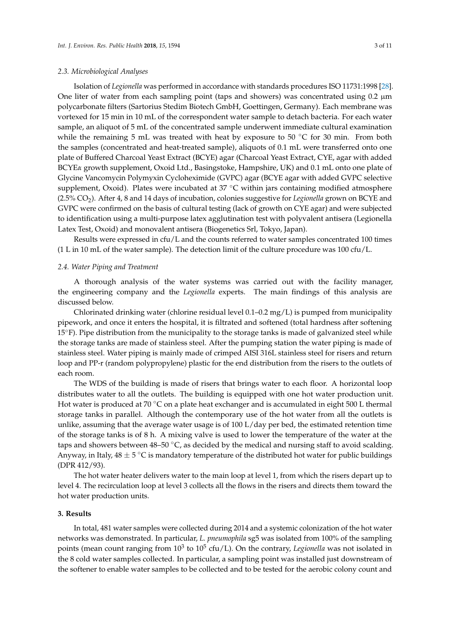### *2.3. Microbiological Analyses*

Isolation of *Legionella* was performed in accordance with standards procedures ISO 11731:1998 [\[28\]](#page-9-11). One liter of water from each sampling point (taps and showers) was concentrated using  $0.2 \mu m$ polycarbonate filters (Sartorius Stedim Biotech GmbH, Goettingen, Germany). Each membrane was vortexed for 15 min in 10 mL of the correspondent water sample to detach bacteria. For each water sample, an aliquot of 5 mL of the concentrated sample underwent immediate cultural examination while the remaining 5 mL was treated with heat by exposure to 50 °C for 30 min. From both the samples (concentrated and heat-treated sample), aliquots of 0.1 mL were transferred onto one plate of Buffered Charcoal Yeast Extract (BCYE) agar (Charcoal Yeast Extract, CYE, agar with added BCYE*α* growth supplement, Oxoid Ltd., Basingstoke, Hampshire, UK) and 0.1 mL onto one plate of Glycine Vancomycin Polymyxin Cycloheximide (GVPC) agar (BCYE agar with added GVPC selective supplement, Oxoid). Plates were incubated at 37 °C within jars containing modified atmosphere (2.5% CO2). After 4, 8 and 14 days of incubation, colonies suggestive for *Legionella* grown on BCYE and GVPC were confirmed on the basis of cultural testing (lack of growth on CYE agar) and were subjected to identification using a multi-purpose latex agglutination test with polyvalent antisera (Legionella Latex Test, Oxoid) and monovalent antisera (Biogenetics Srl, Tokyo, Japan).

Results were expressed in cfu/L and the counts referred to water samples concentrated 100 times (1 L in 10 mL of the water sample). The detection limit of the culture procedure was 100 cfu/L.

#### *2.4. Water Piping and Treatment*

A thorough analysis of the water systems was carried out with the facility manager, the engineering company and the *Legionella* experts. The main findings of this analysis are discussed below.

Chlorinated drinking water (chlorine residual level 0.1–0.2 mg/L) is pumped from municipality pipework, and once it enters the hospital, it is filtrated and softened (total hardness after softening 15<sup>°</sup>F). Pipe distribution from the municipality to the storage tanks is made of galvanized steel while the storage tanks are made of stainless steel. After the pumping station the water piping is made of stainless steel. Water piping is mainly made of crimped AISI 316L stainless steel for risers and return loop and PP-r (random polypropylene) plastic for the end distribution from the risers to the outlets of each room.

The WDS of the building is made of risers that brings water to each floor. A horizontal loop distributes water to all the outlets. The building is equipped with one hot water production unit. Hot water is produced at 70  $\degree$ C on a plate heat exchanger and is accumulated in eight 500 L thermal storage tanks in parallel. Although the contemporary use of the hot water from all the outlets is unlike, assuming that the average water usage is of 100 L/day per bed, the estimated retention time of the storage tanks is of 8 h. A mixing valve is used to lower the temperature of the water at the taps and showers between 48–50  $\degree$ C, as decided by the medical and nursing staff to avoid scalding. Anyway, in Italy,  $48 \pm 5$  °C is mandatory temperature of the distributed hot water for public buildings (DPR 412/93).

The hot water heater delivers water to the main loop at level 1, from which the risers depart up to level 4. The recirculation loop at level 3 collects all the flows in the risers and directs them toward the hot water production units.

### **3. Results**

In total, 481 water samples were collected during 2014 and a systemic colonization of the hot water networks was demonstrated. In particular, *L. pneumophila* sg5 was isolated from 100% of the sampling points (mean count ranging from 10<sup>3</sup> to 10<sup>5</sup> cfu/L). On the contrary, *Legionella* was not isolated in the 8 cold water samples collected. In particular, a sampling point was installed just downstream of the softener to enable water samples to be collected and to be tested for the aerobic colony count and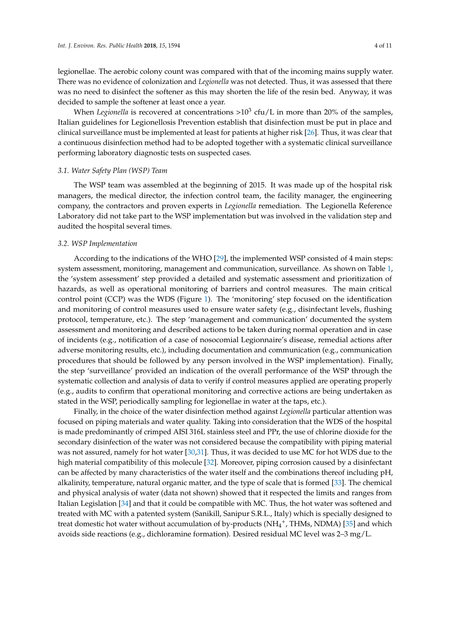legionellae. The aerobic colony count was compared with that of the incoming mains supply water. There was no evidence of colonization and *Legionella* was not detected. Thus, it was assessed that there was no need to disinfect the softener as this may shorten the life of the resin bed. Anyway, it was decided to sample the softener at least once a year.

When *Legionella* is recovered at concentrations >10<sup>3</sup> cfu/L in more than 20% of the samples, Italian guidelines for Legionellosis Prevention establish that disinfection must be put in place and clinical surveillance must be implemented at least for patients at higher risk [\[26\]](#page-9-9). Thus, it was clear that a continuous disinfection method had to be adopted together with a systematic clinical surveillance performing laboratory diagnostic tests on suspected cases.

#### *3.1. Water Safety Plan (WSP) Team*

The WSP team was assembled at the beginning of 2015. It was made up of the hospital risk managers, the medical director, the infection control team, the facility manager, the engineering company, the contractors and proven experts in *Legionella* remediation. The Legionella Reference Laboratory did not take part to the WSP implementation but was involved in the validation step and audited the hospital several times.

# *3.2. WSP Implementation*

According to the indications of the WHO [\[29\]](#page-9-12), the implemented WSP consisted of 4 main steps: system assessment, monitoring, management and communication, surveillance. As shown on Table [1,](#page-5-0) the 'system assessment' step provided a detailed and systematic assessment and prioritization of hazards, as well as operational monitoring of barriers and control measures. The main critical control point (CCP) was the WDS (Figure [1\)](#page-5-1). The 'monitoring' step focused on the identification and monitoring of control measures used to ensure water safety (e.g., disinfectant levels, flushing protocol, temperature, etc.). The step 'management and communication' documented the system assessment and monitoring and described actions to be taken during normal operation and in case of incidents (e.g., notification of a case of nosocomial Legionnaire's disease, remedial actions after adverse monitoring results, etc.), including documentation and communication (e.g., communication procedures that should be followed by any person involved in the WSP implementation). Finally, the step 'surveillance' provided an indication of the overall performance of the WSP through the systematic collection and analysis of data to verify if control measures applied are operating properly (e.g., audits to confirm that operational monitoring and corrective actions are being undertaken as stated in the WSP, periodically sampling for legionellae in water at the taps, etc.).

Finally, in the choice of the water disinfection method against *Legionella* particular attention was focused on piping materials and water quality. Taking into consideration that the WDS of the hospital is made predominantly of crimped AISI 316L stainless steel and PPr, the use of chlorine dioxide for the secondary disinfection of the water was not considered because the compatibility with piping material was not assured, namely for hot water [\[30](#page-9-13)[,31\]](#page-9-14). Thus, it was decided to use MC for hot WDS due to the high material compatibility of this molecule [\[32\]](#page-10-0). Moreover, piping corrosion caused by a disinfectant can be affected by many characteristics of the water itself and the combinations thereof including pH, alkalinity, temperature, natural organic matter, and the type of scale that is formed [\[33\]](#page-10-1). The chemical and physical analysis of water (data not shown) showed that it respected the limits and ranges from Italian Legislation [\[34\]](#page-10-2) and that it could be compatible with MC. Thus, the hot water was softened and treated with MC with a patented system (Sanikill, Sanipur S.R.L., Italy) which is specially designed to treat domestic hot water without accumulation of by-products (NH<sub>4</sub><sup>+</sup>, THMs, NDMA) [\[35\]](#page-10-3) and which avoids side reactions (e.g., dichloramine formation). Desired residual MC level was 2–3 mg/L.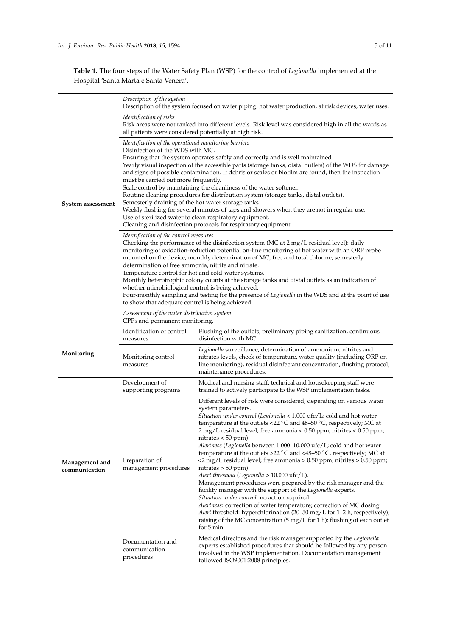**Table 1.** The four steps of the Water Safety Plan (WSP) for the control of *Legionella* implemented at the Hospital 'Santa Marta e Santa Venera'.

|                                 | Description of the system<br>Description of the system focused on water piping, hot water production, at risk devices, water uses.                                                                                                                                                                                                                                                                                                                                                                                                                                                                                                                                                                                                                                                                                                                                                                                                                                                                                                                                                                                                                                                                                                                                                                                                                                                                                                                                                                                                                                                                  |                                                                                                                                                                                                                                                                                                                                                                                                                                                                                                                                                                                                                                                                                                                                                                                                                                                                                                                                                                                                                                                                                                                                                                      |  |  |  |
|---------------------------------|-----------------------------------------------------------------------------------------------------------------------------------------------------------------------------------------------------------------------------------------------------------------------------------------------------------------------------------------------------------------------------------------------------------------------------------------------------------------------------------------------------------------------------------------------------------------------------------------------------------------------------------------------------------------------------------------------------------------------------------------------------------------------------------------------------------------------------------------------------------------------------------------------------------------------------------------------------------------------------------------------------------------------------------------------------------------------------------------------------------------------------------------------------------------------------------------------------------------------------------------------------------------------------------------------------------------------------------------------------------------------------------------------------------------------------------------------------------------------------------------------------------------------------------------------------------------------------------------------------|----------------------------------------------------------------------------------------------------------------------------------------------------------------------------------------------------------------------------------------------------------------------------------------------------------------------------------------------------------------------------------------------------------------------------------------------------------------------------------------------------------------------------------------------------------------------------------------------------------------------------------------------------------------------------------------------------------------------------------------------------------------------------------------------------------------------------------------------------------------------------------------------------------------------------------------------------------------------------------------------------------------------------------------------------------------------------------------------------------------------------------------------------------------------|--|--|--|
|                                 | <i><u><b>Identification of risks</b></u></i><br>Risk areas were not ranked into different levels. Risk level was considered high in all the wards as<br>all patients were considered potentially at high risk.                                                                                                                                                                                                                                                                                                                                                                                                                                                                                                                                                                                                                                                                                                                                                                                                                                                                                                                                                                                                                                                                                                                                                                                                                                                                                                                                                                                      |                                                                                                                                                                                                                                                                                                                                                                                                                                                                                                                                                                                                                                                                                                                                                                                                                                                                                                                                                                                                                                                                                                                                                                      |  |  |  |
| System assessment               | Identification of the operational monitoring barriers<br>Disinfection of the WDS with MC.<br>Ensuring that the system operates safely and correctly and is well maintained.<br>Yearly visual inspection of the accessible parts (storage tanks, distal outlets) of the WDS for damage<br>and signs of possible contamination. If debris or scales or biofilm are found, then the inspection<br>must be carried out more frequently.<br>Scale control by maintaining the cleanliness of the water softener.<br>Routine cleaning procedures for distribution system (storage tanks, distal outlets).<br>Semesterly draining of the hot water storage tanks.<br>Weekly flushing for several minutes of taps and showers when they are not in regular use.<br>Use of sterilized water to clean respiratory equipment.<br>Cleaning and disinfection protocols for respiratory equipment.<br>Identification of the control measures<br>Checking the performance of the disinfection system (MC at 2 mg/L residual level): daily<br>monitoring of oxidation-reduction potential on-line monitoring of hot water with an ORP probe<br>mounted on the device; monthly determination of MC, free and total chlorine; semesterly<br>determination of free ammonia, nitrite and nitrate.<br>Temperature control for hot and cold-water systems.<br>Monthly heterotrophic colony counts at the storage tanks and distal outlets as an indication of<br>whether microbiological control is being achieved.<br>Four-monthly sampling and testing for the presence of Legionella in the WDS and at the point of use |                                                                                                                                                                                                                                                                                                                                                                                                                                                                                                                                                                                                                                                                                                                                                                                                                                                                                                                                                                                                                                                                                                                                                                      |  |  |  |
|                                 | to show that adequate control is being achieved.<br>Assessment of the water distribution system<br>CPPs and permanent monitoring.                                                                                                                                                                                                                                                                                                                                                                                                                                                                                                                                                                                                                                                                                                                                                                                                                                                                                                                                                                                                                                                                                                                                                                                                                                                                                                                                                                                                                                                                   |                                                                                                                                                                                                                                                                                                                                                                                                                                                                                                                                                                                                                                                                                                                                                                                                                                                                                                                                                                                                                                                                                                                                                                      |  |  |  |
| Monitoring                      | Identification of control<br>measures                                                                                                                                                                                                                                                                                                                                                                                                                                                                                                                                                                                                                                                                                                                                                                                                                                                                                                                                                                                                                                                                                                                                                                                                                                                                                                                                                                                                                                                                                                                                                               | Flushing of the outlets, preliminary piping sanitization, continuous<br>disinfection with MC.                                                                                                                                                                                                                                                                                                                                                                                                                                                                                                                                                                                                                                                                                                                                                                                                                                                                                                                                                                                                                                                                        |  |  |  |
|                                 | Monitoring control<br>measures                                                                                                                                                                                                                                                                                                                                                                                                                                                                                                                                                                                                                                                                                                                                                                                                                                                                                                                                                                                                                                                                                                                                                                                                                                                                                                                                                                                                                                                                                                                                                                      | Legionella surveillance, determination of ammonium, nitrites and<br>nitrates levels, check of temperature, water quality (including ORP on<br>line monitoring), residual disinfectant concentration, flushing protocol,<br>maintenance procedures.                                                                                                                                                                                                                                                                                                                                                                                                                                                                                                                                                                                                                                                                                                                                                                                                                                                                                                                   |  |  |  |
|                                 | Development of<br>supporting programs                                                                                                                                                                                                                                                                                                                                                                                                                                                                                                                                                                                                                                                                                                                                                                                                                                                                                                                                                                                                                                                                                                                                                                                                                                                                                                                                                                                                                                                                                                                                                               | Medical and nursing staff, technical and housekeeping staff were<br>trained to actively participate to the WSP implementation tasks.                                                                                                                                                                                                                                                                                                                                                                                                                                                                                                                                                                                                                                                                                                                                                                                                                                                                                                                                                                                                                                 |  |  |  |
| Management and<br>communication | Preparation of<br>management procedures                                                                                                                                                                                                                                                                                                                                                                                                                                                                                                                                                                                                                                                                                                                                                                                                                                                                                                                                                                                                                                                                                                                                                                                                                                                                                                                                                                                                                                                                                                                                                             | Different levels of risk were considered, depending on various water<br>system parameters.<br><i>Situation under control</i> ( <i>Legionella</i> $<$ 1.000 ufc/L; cold and hot water<br>temperature at the outlets <22 $^{\circ}$ C and 48–50 $^{\circ}$ C, respectively; MC at<br>2 mg/L residual level; free ammonia < 0.50 ppm; nitrites < 0.50 ppm;<br>nitrates $< 50$ ppm).<br>Alertness (Legionella between 1.000–10.000 ufc/L; cold and hot water<br>temperature at the outlets >22 $^{\circ}$ C and <48-50 $^{\circ}$ C, respectively; MC at<br><2 mg/L residual level; free ammonia > 0.50 ppm; nitrites > 0.50 ppm;<br>nitrates $> 50$ ppm).<br>Alert threshold (Legionella > 10.000 ufc/L).<br>Management procedures were prepared by the risk manager and the<br>facility manager with the support of the Legionella experts.<br>Situation under control: no action required.<br>Alertness: correction of water temperature; correction of MC dosing.<br>Alert threshold: hyperchlorination (20-50 mg/L for 1-2 h, respectively);<br>raising of the MC concentration $(5 \text{ mg/L} \text{ for } 1 \text{ h})$ ; flushing of each outlet<br>for 5 min. |  |  |  |
|                                 | Documentation and<br>communication<br>procedures                                                                                                                                                                                                                                                                                                                                                                                                                                                                                                                                                                                                                                                                                                                                                                                                                                                                                                                                                                                                                                                                                                                                                                                                                                                                                                                                                                                                                                                                                                                                                    | Medical directors and the risk manager supported by the Legionella<br>experts established procedures that should be followed by any person<br>involved in the WSP implementation. Documentation management<br>followed ISO9001:2008 principles.                                                                                                                                                                                                                                                                                                                                                                                                                                                                                                                                                                                                                                                                                                                                                                                                                                                                                                                      |  |  |  |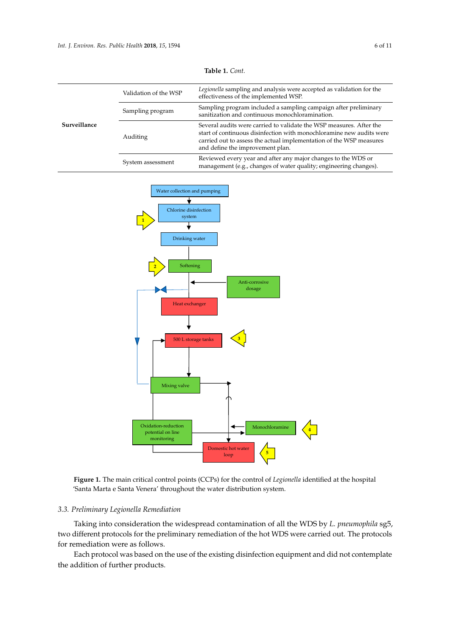<span id="page-5-0"></span>

|              | Validation of the WSP | Legionella sampling and analysis were accepted as validation for the<br>effectiveness of the implemented WSP.                                                                                                                                          |  |
|--------------|-----------------------|--------------------------------------------------------------------------------------------------------------------------------------------------------------------------------------------------------------------------------------------------------|--|
|              | Sampling program      | Sampling program included a sampling campaign after preliminary<br>sanitization and continuous monochloramination.                                                                                                                                     |  |
| Surveillance | Auditing              | Several audits were carried to validate the WSP measures. After the<br>start of continuous disinfection with monochloramine new audits were<br>carried out to assess the actual implementation of the WSP measures<br>and define the improvement plan. |  |
|              | System assessment     | Reviewed every year and after any major changes to the WDS or<br>management (e.g., changes of water quality; engineering changes).                                                                                                                     |  |

<span id="page-5-1"></span>



#### Taking into consideration the widespread contamination of all the WDS by *L. pneumophila* sg5, *3.3. Preliminary Legionella Remediation*

Taking into consideration the widespread contamination of all the WDS by *L. pneumophila* sg5, two different protocols for the preliminary remediation of the hot WDS were carried out. The protocols for remediation were as follows.

 $_{\rm local}$  was hased on the use of the evisting d Each protocol was based on the use of the existing disinfection equipment and did not contemplate<br>delition of further are dusta  $\frac{1}{2}$  and  $\frac{1}{2}$  minute for  $\frac{1}{2}$  minute  $\frac{1}{2}$  minute  $\frac{1}{2}$  with the system was kept with the system was kept with the system was kept with the system was kept with the system was kept with the system w the addition of further products.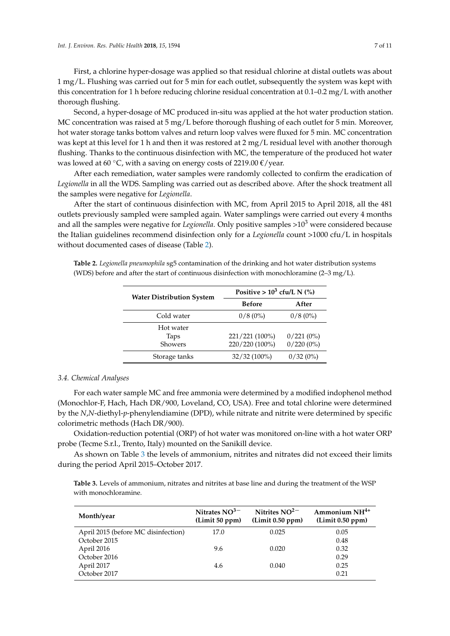First, a chlorine hyper-dosage was applied so that residual chlorine at distal outlets was about 1 mg/L. Flushing was carried out for 5 min for each outlet, subsequently the system was kept with this concentration for 1 h before reducing chlorine residual concentration at 0.1–0.2 mg/L with another thorough flushing.

Second, a hyper-dosage of MC produced in-situ was applied at the hot water production station. MC concentration was raised at 5 mg/L before thorough flushing of each outlet for 5 min. Moreover, hot water storage tanks bottom valves and return loop valves were fluxed for 5 min. MC concentration was kept at this level for 1 h and then it was restored at 2 mg/L residual level with another thorough flushing. Thanks to the continuous disinfection with MC, the temperature of the produced hot water was lowed at 60 °C, with a saving on energy costs of 2219.00  $\epsilon$ /year.

After each remediation, water samples were randomly collected to confirm the eradication of *Legionella* in all the WDS. Sampling was carried out as described above. After the shock treatment all the samples were negative for *Legionella*.

After the start of continuous disinfection with MC, from April 2015 to April 2018, all the 481 outlets previously sampled were sampled again. Water samplings were carried out every 4 months and all the samples were negative for *Legionella*. Only positive samples >10<sup>3</sup> were considered because the Italian guidelines recommend disinfection only for a *Legionella* count >1000 cfu/L in hospitals without documented cases of disease (Table [2\)](#page-6-0).

<span id="page-6-0"></span>**Table 2.** *Legionella pneumophila* sg5 contamination of the drinking and hot water distribution systems (WDS) before and after the start of continuous disinfection with monochloramine  $(2-3 \text{ mg/L})$ .

| <b>Water Distribution System</b> | Positive > $10^3$ cfu/L N (%)    |                              |  |
|----------------------------------|----------------------------------|------------------------------|--|
|                                  | <b>Before</b>                    | After                        |  |
| Cold water                       | $0/8(0\%)$                       | $0/8(0\%)$                   |  |
| Hot water<br>Taps<br>Showers     | 221/221 (100%)<br>220/220 (100%) | $0/221(0\%)$<br>$0/220(0\%)$ |  |
| Storage tanks                    | $32/32(100\%)$                   | $0/32(0\%)$                  |  |

#### *3.4. Chemical Analyses*

For each water sample MC and free ammonia were determined by a modified indophenol method (Monochlor-F, Hach, Hach DR/900, Loveland, CO, USA). Free and total chlorine were determined by the *N*,*N*-diethyl-*p*-phenylendiamine (DPD), while nitrate and nitrite were determined by specific colorimetric methods (Hach DR/900).

Oxidation-reduction potential (ORP) of hot water was monitored on-line with a hot water ORP probe (Tecme S.r.l., Trento, Italy) mounted on the Sanikill device.

As shown on Table [3](#page-6-1) the levels of ammonium, nitrites and nitrates did not exceed their limits during the period April 2015–October 2017.

<span id="page-6-1"></span>**Table 3.** Levels of ammonium, nitrates and nitrites at base line and during the treatment of the WSP with monochloramine.

| Month/year                          | Nitrates $NO3-$<br>(Limit 50 ppm) | Nitrites $NO^{2-}$<br>(Limit 0.50 ppm) | Ammonium NH <sup>4+</sup><br>(Limit 0.50 ppm) |
|-------------------------------------|-----------------------------------|----------------------------------------|-----------------------------------------------|
| April 2015 (before MC disinfection) | 17.0                              | 0.025                                  | 0.05                                          |
| October 2015                        |                                   |                                        | 0.48                                          |
| April 2016                          | 9.6                               | 0.020                                  | 0.32                                          |
| October 2016                        |                                   |                                        | 0.29                                          |
| April 2017                          | 4.6                               | 0.040                                  | 0.25                                          |
| October 2017                        |                                   |                                        | 0.21                                          |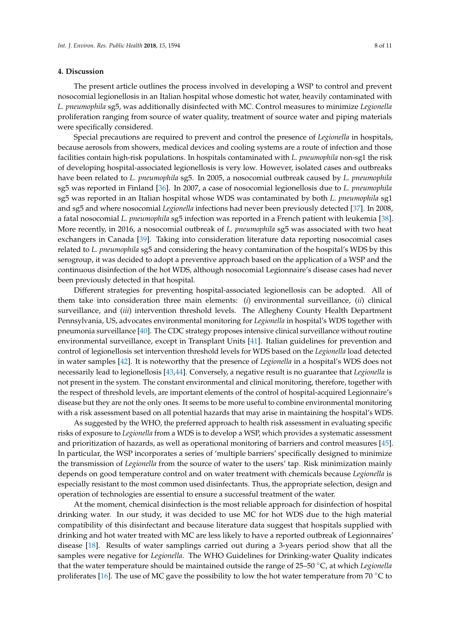#### **4. Discussion**

The present article outlines the process involved in developing a WSP to control and prevent nosocomial legionellosis in an Italian hospital whose domestic hot water, heavily contaminated with *L. pneumophila* sg5, was additionally disinfected with MC. Control measures to minimize *Legionella* proliferation ranging from source of water quality, treatment of source water and piping materials were specifically considered.

Special precautions are required to prevent and control the presence of *Legionella* in hospitals, because aerosols from showers, medical devices and cooling systems are a route of infection and those facilities contain high-risk populations. In hospitals contaminated with *L. pneumophila* non-sg1 the risk of developing hospital-associated legionellosis is very low. However, isolated cases and outbreaks have been related to *L. pneumophila* sg5. In 2005, a nosocomial outbreak caused by *L. pneumophila* sg5 was reported in Finland [\[36\]](#page-10-4). In 2007, a case of nosocomial legionellosis due to *L. pneumophila* sg5 was reported in an Italian hospital whose WDS was contaminated by both *L. pneumophila* sg1 and sg5 and where nosocomial *Legionella* infections had never been previously detected [\[37\]](#page-10-5). In 2008, a fatal nosocomial *L. pneumophila* sg5 infection was reported in a French patient with leukemia [\[38\]](#page-10-6). More recently, in 2016, a nosocomial outbreak of *L. pneumophila* sg5 was associated with two heat exchangers in Canada [\[39\]](#page-10-7). Taking into consideration literature data reporting nosocomial cases related to *L. pneumophila* sg5 and considering the heavy contamination of the hospital's WDS by this serogroup, it was decided to adopt a preventive approach based on the application of a WSP and the continuous disinfection of the hot WDS, although nosocomial Legionnaire's disease cases had never been previously detected in that hospital.

Different strategies for preventing hospital-associated legionellosis can be adopted. All of them take into consideration three main elements: (*i*) environmental surveillance, (*ii*) clinical surveillance, and (*iii*) intervention threshold levels. The Allegheny County Health Department Pennsylvania, US, advocates environmental monitoring for *Legionella* in hospital's WDS together with pneumonia surveillance [\[40\]](#page-10-8). The CDC strategy proposes intensive clinical surveillance without routine environmental surveillance, except in Transplant Units [\[41\]](#page-10-9). Italian guidelines for prevention and control of legionellosis set intervention threshold levels for WDS based on the *Legionella* load detected in water samples [\[42\]](#page-10-10). It is noteworthy that the presence of *Legionella* in a hospital's WDS does not necessarily lead to legionellosis [\[43,](#page-10-11)[44\]](#page-10-12). Conversely, a negative result is no guarantee that *Legionella* is not present in the system. The constant environmental and clinical monitoring, therefore, together with the respect of threshold levels, are important elements of the control of hospital-acquired Legionnaire's disease but they are not the only ones. It seems to be more useful to combine environmental monitoring with a risk assessment based on all potential hazards that may arise in maintaining the hospital's WDS.

As suggested by the WHO, the preferred approach to health risk assessment in evaluating specific risks of exposure to *Legionella* from a WDS is to develop a WSP, which provides a systematic assessment and prioritization of hazards, as well as operational monitoring of barriers and control measures [\[45\]](#page-10-13). In particular, the WSP incorporates a series of 'multiple barriers' specifically designed to minimize the transmission of *Legionella* from the source of water to the users' tap. Risk minimization mainly depends on good temperature control and on water treatment with chemicals because *Legionella* is especially resistant to the most common used disinfectants. Thus, the appropriate selection, design and operation of technologies are essential to ensure a successful treatment of the water.

At the moment, chemical disinfection is the most reliable approach for disinfection of hospital drinking water. In our study, it was decided to use MC for hot WDS due to the high material compatibility of this disinfectant and because literature data suggest that hospitals supplied with drinking and hot water treated with MC are less likely to have a reported outbreak of Legionnaires' disease [\[18\]](#page-9-15). Results of water samplings carried out during a 3-years period show that all the samples were negative for *Legionella*. The WHO Guidelines for Drinking-water Quality indicates that the water temperature should be maintained outside the range of 25–50 ◦C, at which *Legionella* proliferates [\[16\]](#page-9-2). The use of MC gave the possibility to low the hot water temperature from 70  $\degree$ C to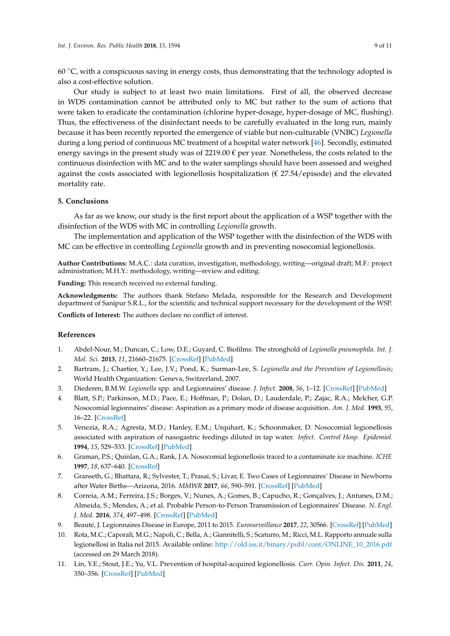60  $\degree$ C, with a conspicuous saving in energy costs, thus demonstrating that the technology adopted is also a cost-effective solution.

Our study is subject to at least two main limitations. First of all, the observed decrease in WDS contamination cannot be attributed only to MC but rather to the sum of actions that were taken to eradicate the contamination (chlorine hyper-dosage, hyper-dosage of MC, flushing). Thus, the effectiveness of the disinfectant needs to be carefully evaluated in the long run, mainly because it has been recently reported the emergence of viable but non-culturable (VNBC) *Legionella* during a long period of continuous MC treatment of a hospital water network [\[46\]](#page-10-14). Secondly, estimated energy savings in the present study was of 2219.00  $\epsilon$  per year. Nonetheless, the costs related to the continuous disinfection with MC and to the water samplings should have been assessed and weighed against the costs associated with legionellosis hospitalization ( $\epsilon$  27.54/episode) and the elevated mortality rate.

# **5. Conclusions**

As far as we know, our study is the first report about the application of a WSP together with the disinfection of the WDS with MC in controlling *Legionella* growth.

The implementation and application of the WSP together with the disinfection of the WDS with MC can be effective in controlling *Legionella* growth and in preventing nosocomial legionellosis.

**Author Contributions:** M.A.C.: data curation, investigation, methodology, writing—original draft; M.F.: project administration; M.H.Y.: methodology, writing—review and editing.

**Funding:** This research received no external funding.

**Acknowledgments:** The authors thank Stefano Melada, responsible for the Research and Development department of Sanipur S.R.L., for the scientific and technical support necessary for the development of the WSP.

**Conflicts of Interest:** The authors declare no conflict of interest.

# **References**

- <span id="page-8-0"></span>1. Abdel-Nour, M.; Duncan, C.; Low, D.E.; Guyard, C. Biofilms: The stronghold of *Legionella pneumophila*. *Int. J. Mol. Sci.* **2013**, *11*, 21660–21675. [\[CrossRef\]](http://dx.doi.org/10.3390/ijms141121660) [\[PubMed\]](http://www.ncbi.nlm.nih.gov/pubmed/24185913)
- <span id="page-8-1"></span>2. Bartram, J.; Chartier, Y.; Lee, J.V.; Pond, K.; Surman-Lee, S. *Legionella and the Prevention of Legionellosis*; World Health Organization: Geneva, Switzerland, 2007.
- <span id="page-8-2"></span>3. Diederen, B.M.W. *Legionella* spp. and Legionnaires' disease. *J. Infect.* **2008**, *56*, 1–12. [\[CrossRef\]](http://dx.doi.org/10.1016/j.jinf.2007.09.010) [\[PubMed\]](http://www.ncbi.nlm.nih.gov/pubmed/17980914)
- <span id="page-8-3"></span>4. Blatt, S.P.; Parkinson, M.D.; Pace, E.; Hoffman, P.; Dolan, D.; Lauderdale, P.; Zajac, R.A.; Melcher, G.P. Nosocomial legionnaires' disease: Aspiration as a primary mode of disease acquisition. *Am. J. Med.* **1993**, *95*, 16–22. [\[CrossRef\]](http://dx.doi.org/10.1016/0002-9343(93)90227-G)
- 5. Venezia, R.A.; Agresta, M.D.; Hanley, E.M.; Urquhart, K.; Schoonmaker, D. Nosocomial legionellosis associated with aspiration of nasogastric feedings diluted in tap water. *Infect. Control Hosp. Epidemiol.* **1994**, *15*, 529–533. [\[CrossRef\]](http://dx.doi.org/10.2307/30148403) [\[PubMed\]](http://www.ncbi.nlm.nih.gov/pubmed/7983346)
- <span id="page-8-4"></span>6. Graman, P.S.; Quinlan, G.A.; Rank, J.A. Nosocomial legionellosis traced to a contaminate ice machine. *ICHE* **1997**, *18*, 637–640. [\[CrossRef\]](http://dx.doi.org/10.2307/30141491)
- <span id="page-8-5"></span>7. Granseth, G.; Bhattara, R.; Sylvester, T.; Prasai, S.; Livar, E. Two Cases of Legionnaires' Disease in Newborns after Water Births—Arizona, 2016. *MMWR* **2017**, *66*, 590–591. [\[CrossRef\]](http://dx.doi.org/10.15585/mmwr.mm6622a4) [\[PubMed\]](http://www.ncbi.nlm.nih.gov/pubmed/28594785)
- <span id="page-8-6"></span>8. Correia, A.M.; Ferreira, J.S.; Borges, V.; Nunes, A.; Gomes, B.; Capucho, R.; Gonçalves, J.; Antunes, D.M.; Almeida, S.; Mendes, A.; et al. Probable Person-to-Person Transmission of Legionnaires' Disease. *N. Engl. J. Med.* **2016**, *374*, 497–498. [\[CrossRef\]](http://dx.doi.org/10.1056/NEJMc1505356) [\[PubMed\]](http://www.ncbi.nlm.nih.gov/pubmed/26840151)
- <span id="page-8-7"></span>9. Beauté, J. Legionnaires Disease in Europe, 2011 to 2015. *Eurosurveillance* **2017**, *22*, 30566. [\[CrossRef\]](http://dx.doi.org/10.2807/1560-7917.ES.2017.22.27.30566) [\[PubMed\]](http://www.ncbi.nlm.nih.gov/pubmed/28703097)
- <span id="page-8-8"></span>10. Rota, M.C.; Caporali, M.G.; Napoli, C.; Bella, A.; Giannitelli, S.; Scaturro, M.; Ricci, M.L. Rapporto annuale sulla legionellosi in Italia nel 2015. Available online: [http://old.iss.it/binary/publ/cont/ONLINE\\_10\\_2016.pdf](http://old.iss.it/binary/publ/cont/ONLINE_10_2016.pdf) (accessed on 29 March 2018).
- <span id="page-8-9"></span>11. Lin, Y.E.; Stout, J.E.; Yu, V.L. Prevention of hospital-acquired legionellosis. *Curr. Opin. Infect. Dis.* **2011**, *24*, 350–356. [\[CrossRef\]](http://dx.doi.org/10.1097/QCO.0b013e3283486c6e) [\[PubMed\]](http://www.ncbi.nlm.nih.gov/pubmed/21666459)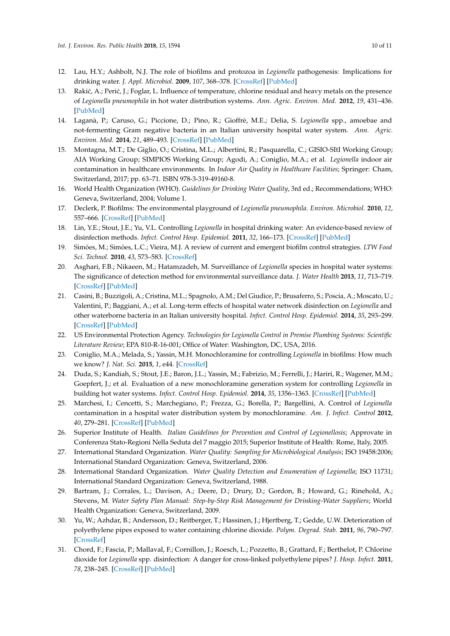- <span id="page-9-0"></span>12. Lau, H.Y.; Ashbolt, N.J. The role of biofilms and protozoa in *Legionella* pathogenesis: Implications for drinking water. *J. Appl. Microbiol.* **2009**, *107*, 368–378. [\[CrossRef\]](http://dx.doi.org/10.1111/j.1365-2672.2009.04208.x) [\[PubMed\]](http://www.ncbi.nlm.nih.gov/pubmed/19302312)
- 13. Rakić, A.; Perić, J.; Foglar, L. Influence of temperature, chlorine residual and heavy metals on the presence of *Legionella pneumophila* in hot water distribution systems. *Ann. Agric. Environ. Med.* **2012**, *19*, 431–436. [\[PubMed\]](http://www.ncbi.nlm.nih.gov/pubmed/23020035)
- 14. Laganà, P.; Caruso, G.; Piccione, D.; Pino, R.; Gioffrè, M.E.; Delia, S. *Legionella* spp., amoebae and not-fermenting Gram negative bacteria in an Italian university hospital water system. *Ann. Agric. Environ. Med.* **2014**, *21*, 489–493. [\[CrossRef\]](http://dx.doi.org/10.5604/12321966.1120623) [\[PubMed\]](http://www.ncbi.nlm.nih.gov/pubmed/25292115)
- <span id="page-9-1"></span>15. Montagna, M.T.; De Giglio, O.; Cristina, M.L.; Albertini, R.; Pasquarella, C.; GISIO-SItI Working Group; AIA Working Group; SIMPIOS Working Group; Agodi, A.; Coniglio, M.A.; et al. *Legionella* indoor air contamination in healthcare environments. In *Indoor Air Quality in Healthcare Facilities*; Springer: Cham, Switzerland, 2017; pp. 63–71. ISBN 978-3-319-49160-8.
- <span id="page-9-2"></span>16. World Health Organization (WHO). *Guidelines for Drinking Water Quality*, 3rd ed.; Recommendations; WHO: Geneva, Switzerland, 2004; Volume 1.
- <span id="page-9-3"></span>17. Declerk, P. Biofilms: The environmental playground of *Legionella pneumophila*. *Environ. Microbiol.* **2010**, *12*, 557–666. [\[CrossRef\]](http://dx.doi.org/10.1111/j.1462-2920.2009.02025.x) [\[PubMed\]](http://www.ncbi.nlm.nih.gov/pubmed/19678829)
- <span id="page-9-15"></span>18. Lin, Y.E.; Stout, J.E.; Yu, V.L. Controlling *Legionella* in hospital drinking water: An evidence-based review of disinfection methods. *Infect. Control Hosp. Epidemiol.* **2011**, *32*, 166–173. [\[CrossRef\]](http://dx.doi.org/10.1086/657934) [\[PubMed\]](http://www.ncbi.nlm.nih.gov/pubmed/21460472)
- <span id="page-9-4"></span>19. Simões, M.; Simões, L.C.; Vieira, M.J. A review of current and emergent biofilm control strategies. *LTW Food Sci. Technol.* **2010**, *43*, 573–583. [\[CrossRef\]](http://dx.doi.org/10.1016/j.lwt.2009.12.008)
- <span id="page-9-5"></span>20. Asghari, F.B.; Nikaeen, M.; Hatamzadeh, M. Surveillance of *Legionella* species in hospital water systems: The significance of detection method for environmental surveillance data. *J. Water Health* **2013**, *11*, 713–719. [\[CrossRef\]](http://dx.doi.org/10.2166/wh.2013.064) [\[PubMed\]](http://www.ncbi.nlm.nih.gov/pubmed/24334845)
- <span id="page-9-6"></span>21. Casini, B.; Buzzigoli, A.; Cristina, M.L.; Spagnolo, A.M.; Del Giudice, P.; Brusaferro, S.; Poscia, A.; Moscato, U.; Valentini, P.; Baggiani, A.; et al. Long-term effects of hospital water network disinfection on *Legionella* and other waterborne bacteria in an Italian university hospital. *Infect. Control Hosp. Epidemiol.* **2014**, *35*, 293–299. [\[CrossRef\]](http://dx.doi.org/10.1086/675280) [\[PubMed\]](http://www.ncbi.nlm.nih.gov/pubmed/24521596)
- <span id="page-9-7"></span>22. US Environmental Protection Agency. *Technologies for Legionella Control in Premise Plumbing Systems: Scientific Literature Review*; EPA 810-R-16-001; Office of Water: Washington, DC, USA, 2016.
- 23. Coniglio, M.A.; Melada, S.; Yassin, M.H. Monochloramine for controlling *Legionella* in biofilms: How much we know? *J. Nat. Sci.* **2015**, *1*, e44. [\[CrossRef\]](http://dx.doi.org/10.4236/ojpm.2015.53017)
- 24. Duda, S.; Kandiah, S.; Stout, J.E.; Baron, J.L.; Yassin, M.; Fabrizio, M.; Ferrelli, J.; Hariri, R.; Wagener, M.M.; Goepfert, J.; et al. Evaluation of a new monochloramine generation system for controlling *Legionella* in building hot water systems. *Infect. Control Hosp. Epidemiol.* **2014**, *35*, 1356–1363. [\[CrossRef\]](http://dx.doi.org/10.1086/678418) [\[PubMed\]](http://www.ncbi.nlm.nih.gov/pubmed/25333430)
- <span id="page-9-8"></span>25. Marchesi, I.; Cencetti, S.; Marchegiano, P.; Frezza, G.; Borella, P.; Bargellini, A. Control of *Legionella* contamination in a hospital water distribution system by monochloramine. *Am. J. Infect. Control* **2012**, *40*, 279–281. [\[CrossRef\]](http://dx.doi.org/10.1016/j.ajic.2011.03.008) [\[PubMed\]](http://www.ncbi.nlm.nih.gov/pubmed/21741121)
- <span id="page-9-9"></span>26. Superior Institute of Health. *Italian Guidelines for Prevention and Control of Legionellosis*; Approvate in Conferenza Stato-Regioni Nella Seduta del 7 maggio 2015; Superior Institute of Health: Rome, Italy, 2005.
- <span id="page-9-10"></span>27. International Standard Organization. *Water Quality: Sampling for Microbiological Analysis*; ISO 19458:2006; International Standard Organization: Geneva, Switzerland, 2006.
- <span id="page-9-11"></span>28. International Standard Organization. *Water Quality Detection and Enumeration of Legionella*; ISO 11731; International Standard Organization: Geneva, Switzerland, 1988.
- <span id="page-9-12"></span>29. Bartram, J.; Corrales, L.; Davison, A.; Deere, D.; Drury, D.; Gordon, B.; Howard, G.; Rinehold, A.; Stevens, M. *Water Safety Plan Manual: Step-by-Step Risk Management for Drinking-Water Suppliers*; World Health Organization: Geneva, Switzerland, 2009.
- <span id="page-9-13"></span>30. Yu, W.; Azhdar, B.; Andersson, D.; Reitberger, T.; Hassinen, J.; Hjertberg, T.; Gedde, U.W. Deterioration of polyethylene pipes exposed to water containing chlorine dioxide. *Polym. Degrad. Stab.* **2011**, *96*, 790–797. [\[CrossRef\]](http://dx.doi.org/10.1016/j.polymdegradstab.2011.02.009)
- <span id="page-9-14"></span>31. Chord, F.; Fascia, P.; Mallaval, F.; Cornillon, J.; Roesch, L.; Pozzetto, B.; Grattard, F.; Berthelot, P. Chlorine dioxide for *Legionella* spp. disinfection: A danger for cross-linked polyethylene pipes? *J. Hosp. Infect.* **2011**, *78*, 238–245. [\[CrossRef\]](http://dx.doi.org/10.1016/j.jhin.2011.03.002) [\[PubMed\]](http://www.ncbi.nlm.nih.gov/pubmed/21507519)